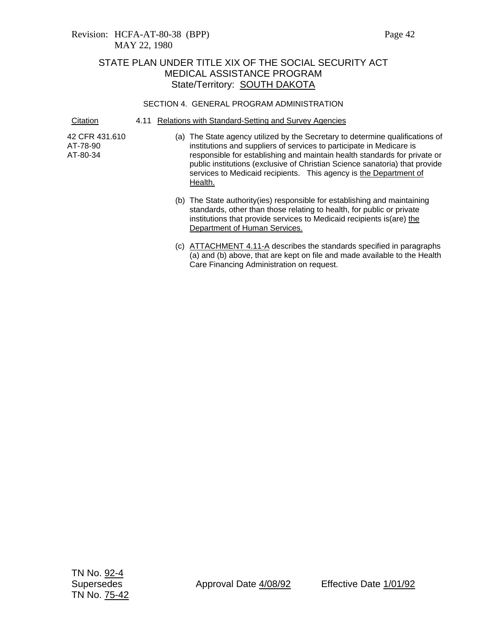### Revision: HCFA-AT-80-38 (BPP) Page 42 MAY 22, 1980

# STATE PLAN UNDER TITLE XIX OF THE SOCIAL SECURITY ACT MEDICAL ASSISTANCE PROGRAM State/Territory: **SOUTH DAKOTA**

### SECTION 4. GENERAL PROGRAM ADMINISTRATION

Citation 4.11 Relations with Standard-Setting and Survey Agencies

42 CFR 431.610 AT-78-90 AT-80-34

- (a) The State agency utilized by the Secretary to determine qualifications of institutions and suppliers of services to participate in Medicare is responsible for establishing and maintain health standards for private or public institutions (exclusive of Christian Science sanatoria) that provide services to Medicaid recipients. This agency is the Department of Health.
	- (b) The State authority(ies) responsible for establishing and maintaining standards, other than those relating to health, for public or private institutions that provide services to Medicaid recipients is(are) the Department of Human Services.
	- (c) ATTACHMENT 4.11-A describes the standards specified in paragraphs (a) and (b) above, that are kept on file and made available to the Health Care Financing Administration on request.